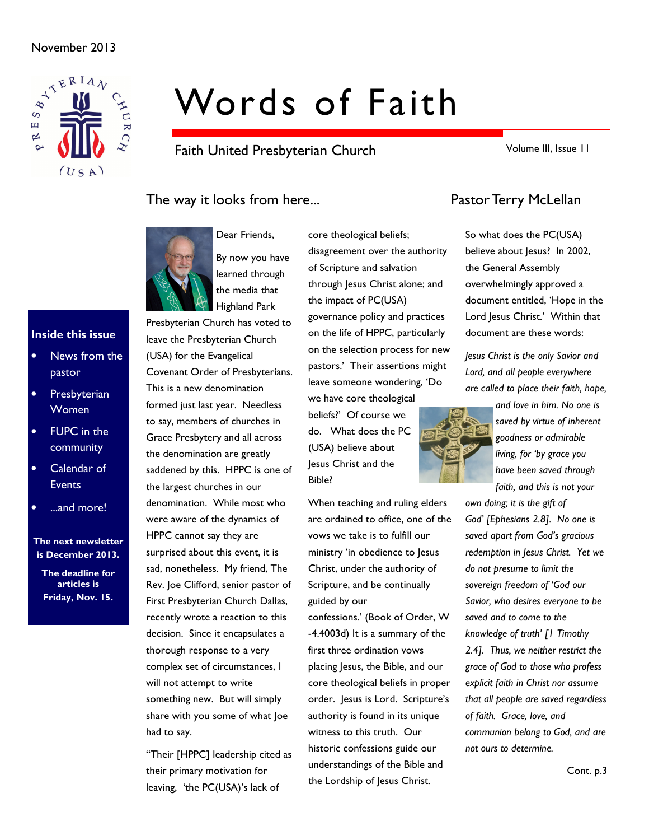### November 2013



# Words of Faith

Faith United Presbyterian Church

Volume III, Issue 11

### The way it looks from here... The way it looks from here...



Dear Friends, By now you have learned through the media that Highland Park

Presbyterian Church has voted to leave the Presbyterian Church (USA) for the Evangelical Covenant Order of Presbyterians. This is a new denomination formed just last year. Needless to say, members of churches in Grace Presbytery and all across the denomination are greatly saddened by this. HPPC is one of the largest churches in our denomination. While most who were aware of the dynamics of HPPC cannot say they are surprised about this event, it is sad, nonetheless. My friend, The Rev. Joe Clifford, senior pastor of First Presbyterian Church Dallas, recently wrote a reaction to this decision. Since it encapsulates a thorough response to a very complex set of circumstances, I will not attempt to write something new. But will simply share with you some of what Joe had to say.

"Their [HPPC] leadership cited as their primary motivation for leaving, 'the PC(USA)'s lack of

core theological beliefs; disagreement over the authority of Scripture and salvation through Jesus Christ alone; and the impact of PC(USA) governance policy and practices on the life of HPPC, particularly on the selection process for new pastors.' Their assertions might leave someone wondering, 'Do we have core theological

beliefs?' Of course we do. What does the PC (USA) believe about Jesus Christ and the Bible?

When teaching and ruling elders are ordained to office, one of the vows we take is to fulfill our ministry 'in obedience to Jesus Christ, under the authority of Scripture, and be continually guided by our

confessions.' (Book of Order, W -4.4003d) It is a summary of the first three ordination vows placing Jesus, the Bible, and our core theological beliefs in proper order. Jesus is Lord. Scripture's authority is found in its unique witness to this truth. Our historic confessions guide our understandings of the Bible and the Lordship of Jesus Christ.

So what does the PC(USA) believe about Jesus? In 2002, the General Assembly overwhelmingly approved a document entitled, 'Hope in the Lord Jesus Christ.' Within that document are these words:

Jesus Christ is the only Savior and Lord, and all people everywhere are called to place their faith, hope,



own doing; it is the gift of God' [Ephesians 2.8]. No one is saved apart from God's gracious redemption in Jesus Christ. Yet we do not presume to limit the sovereign freedom of 'God our Savior, who desires everyone to be saved and to come to the knowledge of truth' [1 Timothy 2.4]. Thus, we neither restrict the grace of God to those who profess explicit faith in Christ nor assume that all people are saved regardless of faith. Grace, love, and communion belong to God, and are not ours to determine.



### Inside this issue

- News from the pastor
- **Presbyterian Women**
- **FUPC** in the community
- Calendar of **Events**
- ...and more!

The next newsletter is December 2013.

The deadline for articles is Friday, Nov. 15.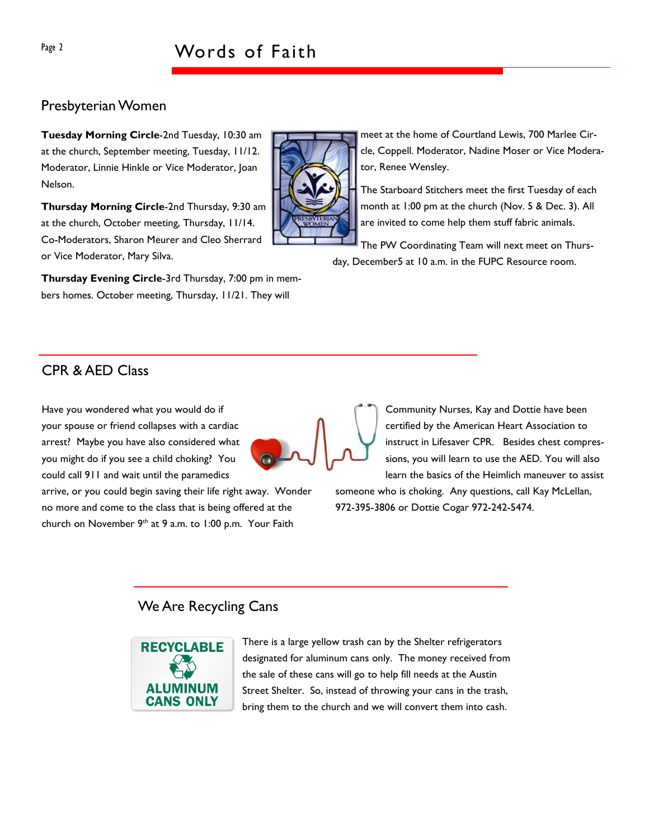### Presbyterian Women

Tuesday Morning Circle-2nd Tuesday, 10:30 am at the church, September meeting, Tuesday, 11/12. Moderator, Linnie Hinkle or Vice Moderator, Joan Nelson.

Thursday Morning Circle-2nd Thursday, 9:30 am at the church, October meeting, Thursday, 11/14. Co-Moderators, Sharon Meurer and Cleo Sherrard or Vice Moderator, Mary Silva.

Thursday Evening Circle-3rd Thursday, 7:00 pm in members homes. October meeting, Thursday, 11/21. They will



meet at the home of Courtland Lewis, 700 Marlee Circle, Coppell. Moderator, Nadine Moser or Vice Moderator, Renee Wensley.

The Starboard Stitchers meet the first Tuesday of each month at 1:00 pm at the church (Nov. 5 & Dec. 3). All are invited to come help them stuff fabric animals.

The PW Coordinating Team will next meet on Thursday, December5 at 10 a.m. in the FUPC Resource room.

### CPR & AED Class

Have you wondered what you would do if your spouse or friend collapses with a cardiac arrest? Maybe you have also considered what you might do if you see a child choking? You could call 911 and wait until the paramedics

arrive, or you could begin saving their life right away. Wonder no more and come to the class that is being offered at the church on November  $9<sup>th</sup>$  at 9 a.m. to 1:00 p.m. Your Faith

Community Nurses, Kay and Dottie have been certified by the American Heart Association to instruct in Lifesaver CPR. Besides chest compressions, you will learn to use the AED. You will also learn the basics of the Heimlich maneuver to assist

someone who is choking. Any questions, call Kay McLellan, 972-395-3806 or Dottie Cogar 972-242-5474.

### We Are Recycling Cans



There is a large yellow trash can by the Shelter refrigerators designated for aluminum cans only. The money received from the sale of these cans will go to help fill needs at the Austin Street Shelter. So, instead of throwing your cans in the trash, bring them to the church and we will convert them into cash.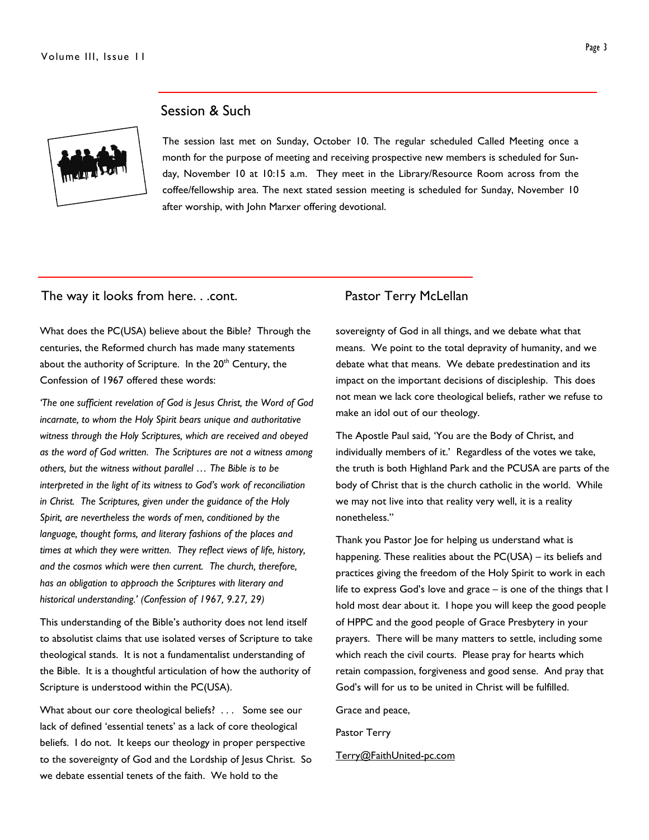

### Session & Such

The session last met on Sunday, October 10. The regular scheduled Called Meeting once a month for the purpose of meeting and receiving prospective new members is scheduled for Sunday, November 10 at 10:15 a.m. They meet in the Library/Resource Room across from the coffee/fellowship area. The next stated session meeting is scheduled for Sunday, November 10 after worship, with John Marxer offering devotional.

### The way it looks from here. . .cont. Pastor Terry McLellan

What does the PC(USA) believe about the Bible? Through the centuries, the Reformed church has made many statements about the authority of Scripture. In the 20<sup>th</sup> Century, the Confession of 1967 offered these words:

'The one sufficient revelation of God is Jesus Christ, the Word of God incarnate, to whom the Holy Spirit bears unique and authoritative witness through the Holy Scriptures, which are received and obeyed as the word of God written. The Scriptures are not a witness among others, but the witness without parallel … The Bible is to be interpreted in the light of its witness to God's work of reconciliation in Christ. The Scriptures, given under the guidance of the Holy Spirit, are nevertheless the words of men, conditioned by the language, thought forms, and literary fashions of the places and times at which they were written. They reflect views of life, history, and the cosmos which were then current. The church, therefore, has an obligation to approach the Scriptures with literary and historical understanding.' (Confession of 1967, 9.27, 29)

This understanding of the Bible's authority does not lend itself to absolutist claims that use isolated verses of Scripture to take theological stands. It is not a fundamentalist understanding of the Bible. It is a thoughtful articulation of how the authority of Scripture is understood within the PC(USA).

What about our core theological beliefs? . . . Some see our lack of defined 'essential tenets' as a lack of core theological beliefs. I do not. It keeps our theology in proper perspective to the sovereignty of God and the Lordship of Jesus Christ. So we debate essential tenets of the faith. We hold to the

sovereignty of God in all things, and we debate what that means. We point to the total depravity of humanity, and we debate what that means. We debate predestination and its impact on the important decisions of discipleship. This does not mean we lack core theological beliefs, rather we refuse to make an idol out of our theology.

The Apostle Paul said, 'You are the Body of Christ, and individually members of it.' Regardless of the votes we take, the truth is both Highland Park and the PCUSA are parts of the body of Christ that is the church catholic in the world. While we may not live into that reality very well, it is a reality nonetheless."

Thank you Pastor Joe for helping us understand what is happening. These realities about the PC(USA) – its beliefs and practices giving the freedom of the Holy Spirit to work in each life to express God's love and grace – is one of the things that I hold most dear about it. I hope you will keep the good people of HPPC and the good people of Grace Presbytery in your prayers. There will be many matters to settle, including some which reach the civil courts. Please pray for hearts which retain compassion, forgiveness and good sense. And pray that God's will for us to be united in Christ will be fulfilled.

Grace and peace,

Pastor Terry

Terry@FaithUnited-pc.com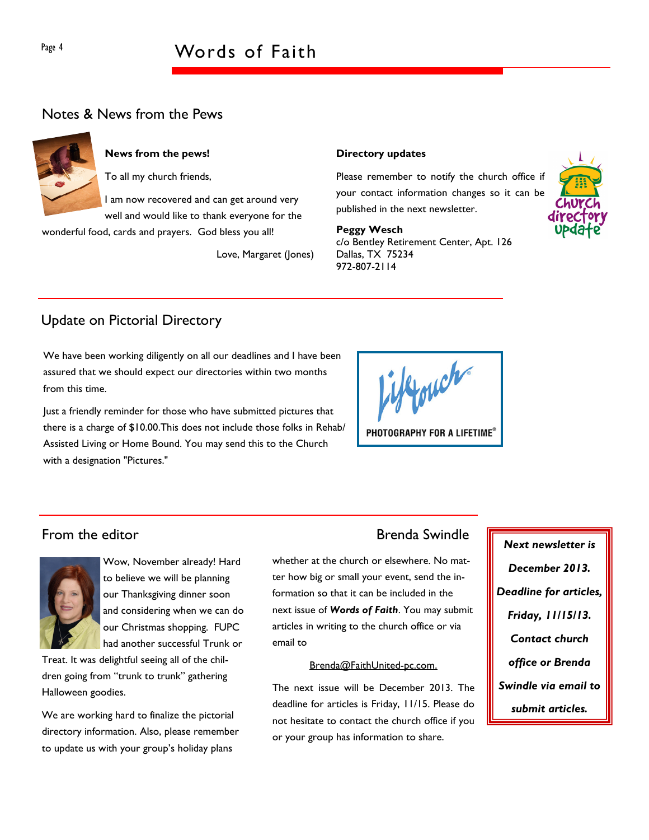# Page 4 Words of Faith

### Notes & News from the Pews



### News from the pews!

To all my church friends,

I am now recovered and can get around very well and would like to thank everyone for the

wonderful food, cards and prayers. God bless you all!

Love, Margaret (Jones)

### Directory updates

Please remember to notify the church office if your contact information changes so it can be published in the next newsletter.

### Peggy Wesch

c/o Bentley Retirement Center, Apt. 126 Dallas, TX 75234 972-807-2114



## Update on Pictorial Directory

We have been working diligently on all our deadlines and I have been assured that we should expect our directories within two months from this time.

Just a friendly reminder for those who have submitted pictures that there is a charge of \$10.00.This does not include those folks in Rehab/ Assisted Living or Home Bound. You may send this to the Church with a designation "Pictures."

ifforch PHOTOGRAPHY FOR A LIFETIME®

### From the editor **Brenda** Swindle



Wow, November already! Hard to believe we will be planning our Thanksgiving dinner soon and considering when we can do our Christmas shopping. FUPC had another successful Trunk or

Treat. It was delightful seeing all of the children going from "trunk to trunk" gathering Halloween goodies.

We are working hard to finalize the pictorial directory information. Also, please remember to update us with your group's holiday plans

whether at the church or elsewhere. No matter how big or small your event, send the information so that it can be included in the next issue of Words of Faith. You may submit articles in writing to the church office or via email to

### Brenda@FaithUnited-pc.com.

The next issue will be December 2013. The deadline for articles is Friday, 11/15. Please do not hesitate to contact the church office if you or your group has information to share.

Next newsletter is December 2013. Deadline for articles, Friday, 11/15/13. Contact church office or Brenda Swindle via email to submit articles.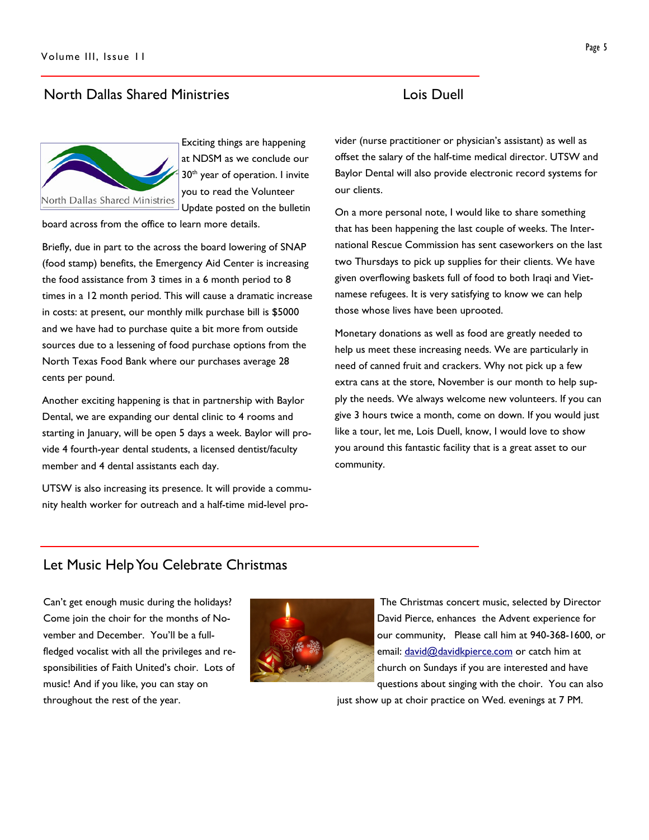## North Dallas Shared Ministries Lois Duell

North Dallas Shared Ministries

Exciting things are happening at NDSM as we conclude our 30<sup>th</sup> year of operation. I invite you to read the Volunteer Update posted on the bulletin

board across from the office to learn more details.

Briefly, due in part to the across the board lowering of SNAP (food stamp) benefits, the Emergency Aid Center is increasing the food assistance from 3 times in a 6 month period to 8 times in a 12 month period. This will cause a dramatic increase in costs: at present, our monthly milk purchase bill is \$5000 and we have had to purchase quite a bit more from outside sources due to a lessening of food purchase options from the North Texas Food Bank where our purchases average 28 cents per pound.

Another exciting happening is that in partnership with Baylor Dental, we are expanding our dental clinic to 4 rooms and starting in January, will be open 5 days a week. Baylor will provide 4 fourth-year dental students, a licensed dentist/faculty member and 4 dental assistants each day.

UTSW is also increasing its presence. It will provide a community health worker for outreach and a half-time mid-level pro-

vider (nurse practitioner or physician's assistant) as well as offset the salary of the half-time medical director. UTSW and Baylor Dental will also provide electronic record systems for our clients.

On a more personal note, I would like to share something that has been happening the last couple of weeks. The International Rescue Commission has sent caseworkers on the last two Thursdays to pick up supplies for their clients. We have given overflowing baskets full of food to both Iraqi and Vietnamese refugees. It is very satisfying to know we can help those whose lives have been uprooted.

Monetary donations as well as food are greatly needed to help us meet these increasing needs. We are particularly in need of canned fruit and crackers. Why not pick up a few extra cans at the store, November is our month to help supply the needs. We always welcome new volunteers. If you can give 3 hours twice a month, come on down. If you would just like a tour, let me, Lois Duell, know, I would love to show you around this fantastic facility that is a great asset to our community.

### Let Music Help You Celebrate Christmas

Can't get enough music during the holidays? Come join the choir for the months of November and December. You'll be a fullfledged vocalist with all the privileges and responsibilities of Faith United's choir. Lots of music! And if you like, you can stay on throughout the rest of the year.



 The Christmas concert music, selected by Director David Pierce, enhances the Advent experience for our community, Please call him at 940-368-1600, or email: david@davidkpierce.com or catch him at church on Sundays if you are interested and have questions about singing with the choir. You can also just show up at choir practice on Wed. evenings at 7 PM.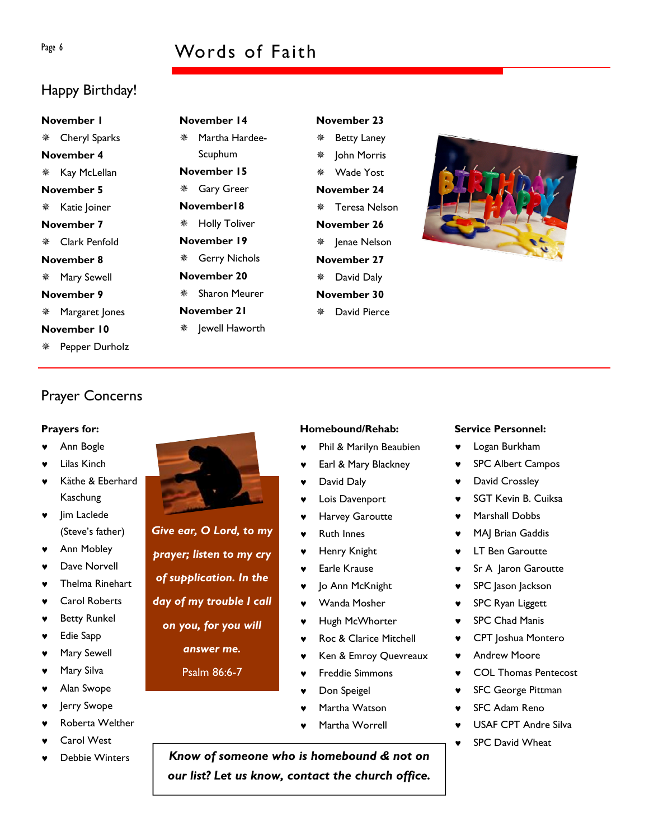# Page 6 Words of Faith

# Happy Birthday!

# November 1 Cheryl Sparks November 4 \* Kay McLellan November 5 \* Katie Joiner November 7 Clark Penfold November 8 Mary Sewell November 9 Margaret Jones November 10

Pepper Durholz

# November 14 Martha Hardee-Scuphum November 15 Gary Greer November18 Holly Toliver November 19 Gerry Nichols November 20 Sharon Meurer November 21 \* Jewell Haworth

### November 23 Betty Laney **\*** John Morris

 Wade Yost November 24 Teresa Nelson November 26 ※ Jenae Nelson November 27 David Daly November 30 David Pierce

Homebound/Rehab:

David Daly ♥ Lois Davenport ♥ Harvey Garoutte **Ruth Innes Henry Knight** ♥ Earle Krause ♥ Jo Ann McKnight ♥ Wanda Mosher

Phil & Marilyn Beaubien Earl & Mary Blackney



# Prayer Concerns

### Prayers for:

- Ann Bogle
- **Lilas Kinch**
- Käthe & Eberhard Kaschung
- Jim Laclede (Steve's father)
- Ann Mobley
- Dave Norvell
- Thelma Rinehart
- **Carol Roberts**
- **Betty Runkel**
- ♥ Edie Sapp
- ♥ Mary Sewell
- Mary Silva
- Alan Swope
- lerry Swope
- Roberta Welther
- Carol West
- Debbie Winters



Give ear, O Lord, to my prayer; listen to my cry

- of supplication. In the
- day of my trouble I call
- on you, for you will
	- answer me.

Psalm 86:6-7

- Don Speigel
- Martha Watson

♥ Freddie Simmons

Hugh McWhorter Roc & Clarice Mitchell Ken & Emroy Quevreaux

Martha Worrell

### Service Personnel:

- ♥ Logan Burkham
- ♥ SPC Albert Campos
- David Crossley
- **SGT Kevin B. Cuiksa**
- Marshall Dobbs
- MAJ Brian Gaddis
- **LT Ben Garoutte**
- Sr A Jaron Garoutte
- ♥ SPC Jason Jackson
- **SPC Ryan Liggett**
- ♥ SPC Chad Manis
- CPT Joshua Montero
- **Andrew Moore**
- **COL Thomas Pentecost**
- ♥ SFC George Pittman
- **SFC Adam Reno**
- USAF CPT Andre Silva
- **SPC David Wheat**

Know of someone who is homebound & not on our list? Let us know, contact the church office.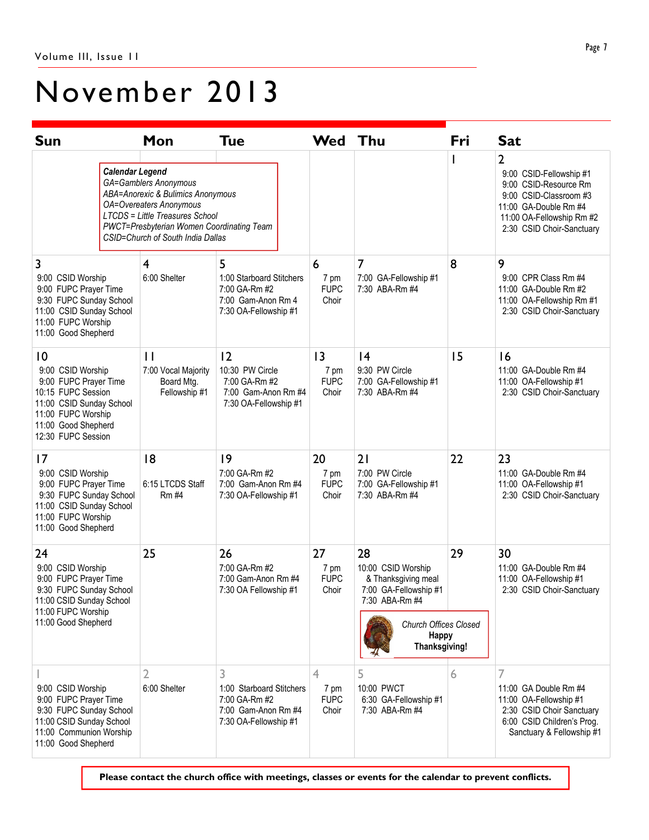# November 2013

| <b>Sun</b>                                                                                                                                                                         |                                                                                                                                                                                                                                                        | Mon                                                                | <b>Tue</b>                                                                                     | Wed Thu                            |                                                                                                                                                      | Fri                                                                                                                                                                | <b>Sat</b>                                                                                                                                   |
|------------------------------------------------------------------------------------------------------------------------------------------------------------------------------------|--------------------------------------------------------------------------------------------------------------------------------------------------------------------------------------------------------------------------------------------------------|--------------------------------------------------------------------|------------------------------------------------------------------------------------------------|------------------------------------|------------------------------------------------------------------------------------------------------------------------------------------------------|--------------------------------------------------------------------------------------------------------------------------------------------------------------------|----------------------------------------------------------------------------------------------------------------------------------------------|
|                                                                                                                                                                                    | <b>Calendar Legend</b><br>GA=Gamblers Anonymous<br><b>ABA=Anorexic &amp; Bulimics Anonymous</b><br>OA=Overeaters Anonymous<br><b>LTCDS = Little Treasures School</b><br>PWCT=Presbyterian Women Coordinating Team<br>CSID=Church of South India Dallas |                                                                    |                                                                                                |                                    |                                                                                                                                                      | 2<br>9:00 CSID-Fellowship #1<br>9:00 CSID-Resource Rm<br>9:00 CSID-Classroom #3<br>11:00 GA-Double Rm #4<br>11:00 OA-Fellowship Rm #2<br>2:30 CSID Choir-Sanctuary |                                                                                                                                              |
| 3                                                                                                                                                                                  |                                                                                                                                                                                                                                                        | 4                                                                  | 5                                                                                              | 6                                  | 7                                                                                                                                                    | 8                                                                                                                                                                  | 9                                                                                                                                            |
| 9:00 CSID Worship<br>9:00 FUPC Prayer Time<br>9:30 FUPC Sunday School<br>11:00 CSID Sunday School<br>11:00 FUPC Worship<br>11:00 Good Shepherd                                     |                                                                                                                                                                                                                                                        | 6:00 Shelter                                                       | 1:00 Starboard Stitchers<br>7:00 GA-Rm #2<br>7:00 Gam-Anon Rm 4<br>7:30 OA-Fellowship #1       | 7 pm<br><b>FUPC</b><br>Choir       | 7:00 GA-Fellowship #1<br>7:30 ABA-Rm #4                                                                                                              |                                                                                                                                                                    | 9:00 CPR Class Rm #4<br>11:00 GA-Double Rm #2<br>11:00 OA-Fellowship Rm #1<br>2:30 CSID Choir-Sanctuary                                      |
| $\overline{10}$<br>9:00 CSID Worship<br>9:00 FUPC Prayer Time<br>10:15 FUPC Session<br>11:00 CSID Sunday School<br>11:00 FUPC Worship<br>11:00 Good Shepherd<br>12:30 FUPC Session |                                                                                                                                                                                                                                                        | $\mathbf{H}$<br>7:00 Vocal Majority<br>Board Mtg.<br>Fellowship #1 | 2<br>10:30 PW Circle<br>7:00 GA-Rm #2<br>7:00 Gam-Anon Rm #4<br>7:30 OA-Fellowship #1          | 3<br>7 pm<br><b>FUPC</b><br>Choir  | 4<br>9:30 PW Circle<br>7:00 GA-Fellowship #1<br>7:30 ABA-Rm #4                                                                                       | 15                                                                                                                                                                 | 16<br>11:00 GA-Double Rm #4<br>11:00 OA-Fellowship #1<br>2:30 CSID Choir-Sanctuary                                                           |
| $\overline{17}$<br>9:00 CSID Worship<br>9:00 FUPC Prayer Time<br>9:30 FUPC Sunday School<br>11:00 CSID Sunday School<br>11:00 FUPC Worship<br>11:00 Good Shepherd                  |                                                                                                                                                                                                                                                        | 8<br>6:15 LTCDS Staff<br><b>Rm #4</b>                              | 9<br>7:00 GA-Rm #2<br>7:00 Gam-Anon Rm #4<br>7:30 OA-Fellowship #1                             | 20<br>7 pm<br><b>FUPC</b><br>Choir | 21<br>7:00 PW Circle<br>7:00 GA-Fellowship #1<br>7:30 ABA-Rm #4                                                                                      | 22                                                                                                                                                                 | 23<br>11:00 GA-Double Rm #4<br>11:00 OA-Fellowship #1<br>2:30 CSID Choir-Sanctuary                                                           |
| 24<br>9:00 CSID Worship<br>9:00 FUPC Prayer Time<br>9:30 FUPC Sunday School<br>11:00 CSID Sunday School<br>11:00 FUPC Worship<br>11:00 Good Shepherd                               |                                                                                                                                                                                                                                                        | 25                                                                 | 26<br>7:00 GA-Rm #2<br>7:00 Gam-Anon Rm #4<br>7:30 OA Fellowship #1                            | 27<br>7 pm<br><b>FUPC</b><br>Choir | 28<br>10:00 CSID Worship<br>& Thanksgiving meal<br>7:00 GA-Fellowship #1<br>7:30 ABA-Rm #4<br><b>Church Offices Closed</b><br>Happy<br>Thanksgiving! | 29                                                                                                                                                                 | 30<br>11:00 GA-Double Rm #4<br>11:00 OA-Fellowship #1<br>2:30 CSID Choir-Sanctuary                                                           |
| 9:00 CSID Worship<br>9:00 FUPC Prayer Time<br>9:30 FUPC Sunday School<br>11:00 CSID Sunday School<br>11:00 Communion Worship<br>11:00 Good Shepherd                                |                                                                                                                                                                                                                                                        | 6:00 Shelter                                                       | 3<br>1:00 Starboard Stitchers<br>7:00 GA-Rm #2<br>7:00 Gam-Anon Rm #4<br>7:30 OA-Fellowship #1 | 4<br>7 pm<br><b>FUPC</b><br>Choir  | 5<br>10:00 PWCT<br>6:30 GA-Fellowship #1<br>7:30 ABA-Rm #4                                                                                           | 6                                                                                                                                                                  | 7<br>11:00 GA Double Rm #4<br>11:00 OA-Fellowship #1<br>2:30 CSID Choir Sanctuary<br>6:00 CSID Children's Prog.<br>Sanctuary & Fellowship #1 |

Please contact the church office with meetings, classes or events for the calendar to prevent conflicts.